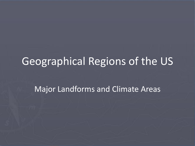## Geographical Regions of the US

Major Landforms and Climate Areas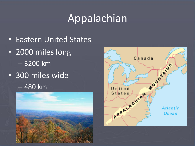## Appalachian

- Eastern United States
- 2000 miles long – 3200 km
- 300 miles wide
	- 480 km



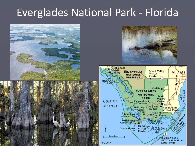### Everglades National Park - Florida





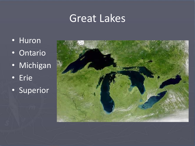## Great Lakes

- Huron
- Ontario
- Michigan
- Erie
- Superior

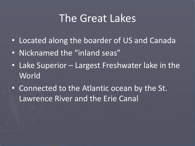#### The Great Lakes

- Located along the boarder of US and Canada
- Nicknamed the "inland seas"
- Lake Superior Largest Freshwater lake in the World
- Connected to the Atlantic ocean by the St. Lawrence River and the Erie Canal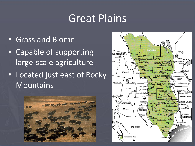#### Great Plains

- Grassland Biome
- Capable of supporting large-scale agriculture
- Located just east of Rocky Mountains



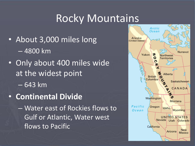## Rocky Mountains

- About 3,000 miles long – 4800 km
- Only about 400 miles wide at the widest point – 643 km
- **Continental Divide**
	- Water east of Rockies flows to Gulf or Atlantic, Water west flows to Pacific

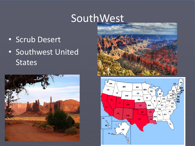## SouthWest

- Scrub Desert
- Southwest United **States**





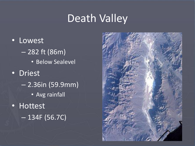### Death Valley

• Lowest – 282 ft (86m) • Below Sealevel • Driest – 2.36in (59.9mm) • Avg rainfall • Hottest – 134F (56.7C)

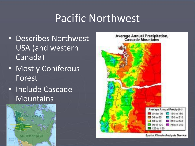### Pacific Northwest

- Describes Northwest USA (and western Canada)
- Mostly Coniferous Forest
- Include Cascade **Mountains**





Spatial Climate Analysis Service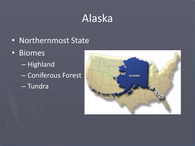# Alaska

- Northernmost State
- Biomes
	- Highland
	- Coniferous Forest
	- Tundra

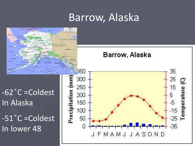### Barrow, Alaska